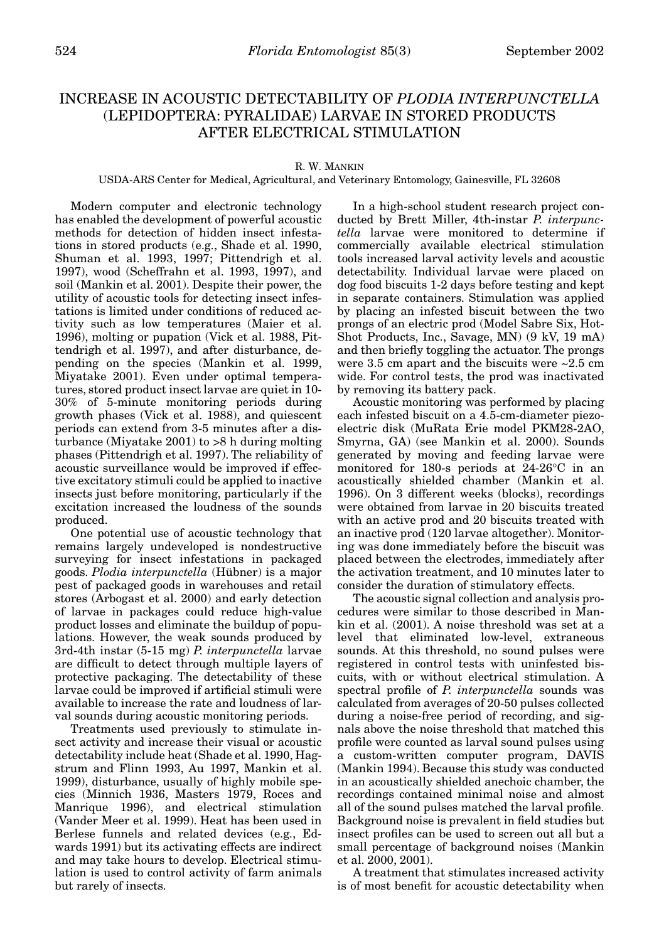## INCREASE IN ACOUSTIC DETECTABILITY OF *PLODIA INTERPUNCTELLA*  (LEPIDOPTERA: PYRALIDAE) LARVAE IN STORED PRODUCTS AFTER ELECTRICAL STIMULATION

## R. W. MANKIN

USDA-ARS Center for Medical, Agricultural, and Veterinary Entomology, Gainesville, FL 32608

Modern computer and electronic technology has enabled the development of powerful acoustic methods for detection of hidden insect infestations in stored products (e.g., Shade et al. 1990, Shuman et al. 1993, 1997; Pittendrigh et al. 1997), wood (Scheffrahn et al. 1993, 1997), and soil (Mankin et al. 2001). Despite their power, the utility of acoustic tools for detecting insect infestations is limited under conditions of reduced activity such as low temperatures (Maier et al. 1996), molting or pupation (Vick et al. 1988, Pittendrigh et al. 1997), and after disturbance, depending on the species (Mankin et al. 1999, Miyatake 2001). Even under optimal temperatures, stored product insect larvae are quiet in 10- 30% of 5-minute monitoring periods during growth phases (Vick et al. 1988), and quiescent periods can extend from 3-5 minutes after a disturbance (Miyatake 2001) to >8 h during molting phases (Pittendrigh et al. 1997). The reliability of acoustic surveillance would be improved if effective excitatory stimuli could be applied to inactive insects just before monitoring, particularly if the excitation increased the loudness of the sounds produced.

One potential use of acoustic technology that remains largely undeveloped is nondestructive surveying for insect infestations in packaged goods. *Plodia interpunctella* (Hübner) is a major pest of packaged goods in warehouses and retail stores (Arbogast et al. 2000) and early detection of larvae in packages could reduce high-value product losses and eliminate the buildup of populations. However, the weak sounds produced by 3rd-4th instar (5-15 mg) *P. interpunctella* larvae are difficult to detect through multiple layers of protective packaging. The detectability of these larvae could be improved if artificial stimuli were available to increase the rate and loudness of larval sounds during acoustic monitoring periods.

Treatments used previously to stimulate insect activity and increase their visual or acoustic detectability include heat (Shade et al. 1990, Hagstrum and Flinn 1993, Au 1997, Mankin et al. 1999), disturbance, usually of highly mobile species (Minnich 1936, Masters 1979, Roces and Manrique 1996), and electrical stimulation (Vander Meer et al. 1999). Heat has been used in Berlese funnels and related devices (e.g., Edwards 1991) but its activating effects are indirect and may take hours to develop. Electrical stimulation is used to control activity of farm animals but rarely of insects.

In a high-school student research project conducted by Brett Miller, 4th-instar *P. interpunctella* larvae were monitored to determine if commercially available electrical stimulation tools increased larval activity levels and acoustic detectability. Individual larvae were placed on dog food biscuits 1-2 days before testing and kept in separate containers. Stimulation was applied by placing an infested biscuit between the two prongs of an electric prod (Model Sabre Six, Hot-Shot Products, Inc., Savage, MN) (9 kV, 19 mA) and then briefly toggling the actuator. The prongs were 3.5 cm apart and the biscuits were ~2.5 cm wide. For control tests, the prod was inactivated by removing its battery pack.

Acoustic monitoring was performed by placing each infested biscuit on a 4.5-cm-diameter piezoelectric disk (MuRata Erie model PKM28-2AO, Smyrna, GA) (see Mankin et al. 2000). Sounds generated by moving and feeding larvae were monitored for 180-s periods at 24-26°C in an acoustically shielded chamber (Mankin et al. 1996). On 3 different weeks (blocks), recordings were obtained from larvae in 20 biscuits treated with an active prod and 20 biscuits treated with an inactive prod (120 larvae altogether). Monitoring was done immediately before the biscuit was placed between the electrodes, immediately after the activation treatment, and 10 minutes later to consider the duration of stimulatory effects.

The acoustic signal collection and analysis procedures were similar to those described in Mankin et al. (2001). A noise threshold was set at a level that eliminated low-level, extraneous sounds. At this threshold, no sound pulses were registered in control tests with uninfested biscuits, with or without electrical stimulation. A spectral profile of *P. interpunctella* sounds was calculated from averages of 20-50 pulses collected during a noise-free period of recording, and signals above the noise threshold that matched this profile were counted as larval sound pulses using a custom-written computer program, DAVIS (Mankin 1994). Because this study was conducted in an acoustically shielded anechoic chamber, the recordings contained minimal noise and almost all of the sound pulses matched the larval profile. Background noise is prevalent in field studies but insect profiles can be used to screen out all but a small percentage of background noises (Mankin et al. 2000, 2001).

A treatment that stimulates increased activity is of most benefit for acoustic detectability when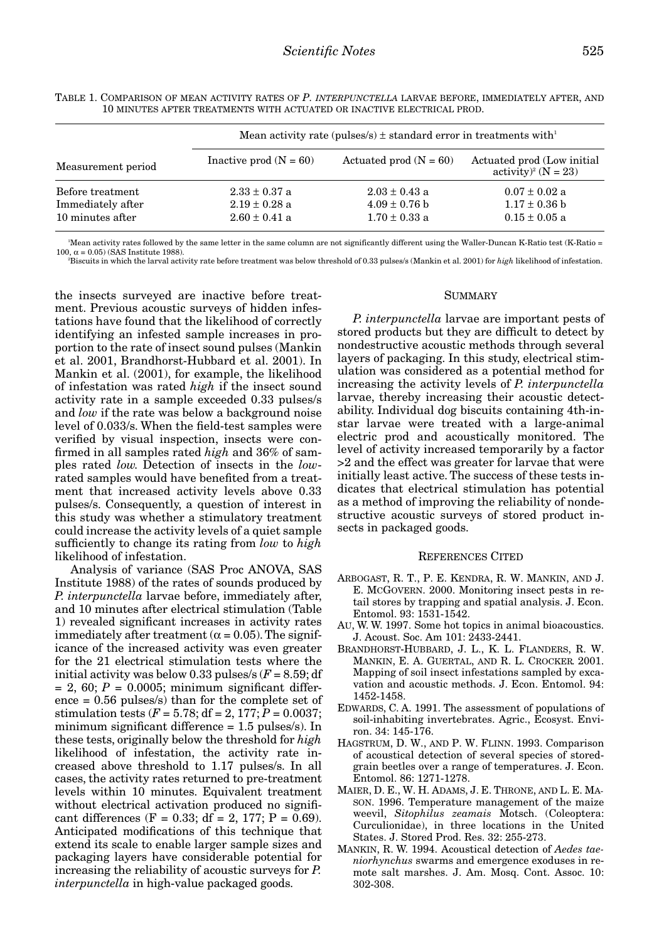|                                                           | Mean activity rate (pulses/s) $\pm$ standard error in treatments with <sup>1</sup> |                                                             |                                                                    |
|-----------------------------------------------------------|------------------------------------------------------------------------------------|-------------------------------------------------------------|--------------------------------------------------------------------|
| Measurement period                                        | Inactive prod $(N = 60)$                                                           | Actuated prod $(N = 60)$                                    | Actuated prod (Low initial)<br>activity) <sup>2</sup> ( $N = 23$ ) |
| Before treatment<br>Immediately after<br>10 minutes after | $2.33 \pm 0.37$ a<br>$2.19 \pm 0.28$ a<br>$2.60 \pm 0.41$ a                        | $2.03 \pm 0.43$ a<br>$4.09 \pm 0.76$ b<br>$1.70 \pm 0.33$ a | $0.07 \pm 0.02$ a<br>$1.17 \pm 0.36$ b<br>$0.15 \pm 0.05$ a        |

TABLE 1. COMPARISON OF MEAN ACTIVITY RATES OF *P. INTERPUNCTELLA* LARVAE BEFORE, IMMEDIATELY AFTER, AND 10 MINUTES AFTER TREATMENTS WITH ACTUATED OR INACTIVE ELECTRICAL PROD.

1 Mean activity rates followed by the same letter in the same column are not significantly different using the Waller-Duncan K-Ratio test (K-Ratio = 100,  $\alpha = 0.05$ ) (SAS Institute 1988).

2 Biscuits in which the larval activity rate before treatment was below threshold of 0.33 pulses/s (Mankin et al. 2001) for *high* likelihood of infestation.

the insects surveyed are inactive before treatment. Previous acoustic surveys of hidden infestations have found that the likelihood of correctly identifying an infested sample increases in proportion to the rate of insect sound pulses (Mankin et al. 2001, Brandhorst-Hubbard et al. 2001). In Mankin et al. (2001), for example, the likelihood of infestation was rated *high* if the insect sound activity rate in a sample exceeded 0.33 pulses/s and *low* if the rate was below a background noise level of 0.033/s. When the field-test samples were verified by visual inspection, insects were confirmed in all samples rated *high* and 36% of samples rated *low*. Detection of insects in the *low*rated samples would have benefited from a treatment that increased activity levels above 0.33 pulses/s. Consequently, a question of interest in this study was whether a stimulatory treatment could increase the activity levels of a quiet sample sufficiently to change its rating from *low* to *high* likelihood of infestation.

Analysis of variance (SAS Proc ANOVA, SAS Institute 1988) of the rates of sounds produced by *P. interpunctella* larvae before, immediately after, and 10 minutes after electrical stimulation (Table 1) revealed significant increases in activity rates immediately after treatment ( $\alpha$  = 0.05). The significance of the increased activity was even greater for the 21 electrical stimulation tests where the initial activity was below 0.33 pulses/s  $(F = 8.59; df)$  $= 2, 60; P = 0.0005;$  minimum significant difference = 0.56 pulses/s) than for the complete set of stimulation tests ( $F = 5.78$ ; df = 2, 177;  $P = 0.0037$ ; minimum significant difference = 1.5 pulses/s). In these tests, originally below the threshold for *high* likelihood of infestation, the activity rate increased above threshold to 1.17 pulses/s. In all cases, the activity rates returned to pre-treatment levels within 10 minutes. Equivalent treatment without electrical activation produced no significant differences (F = 0.33; df = 2, 177; P = 0.69). Anticipated modifications of this technique that extend its scale to enable larger sample sizes and packaging layers have considerable potential for increasing the reliability of acoustic surveys for *P. interpunctella* in high-value packaged goods.

## **SUMMARY**

*P. interpunctella* larvae are important pests of stored products but they are difficult to detect by nondestructive acoustic methods through several layers of packaging. In this study, electrical stimulation was considered as a potential method for increasing the activity levels of *P. interpunctella* larvae, thereby increasing their acoustic detectability. Individual dog biscuits containing 4th-instar larvae were treated with a large-animal electric prod and acoustically monitored. The level of activity increased temporarily by a factor >2 and the effect was greater for larvae that were initially least active. The success of these tests indicates that electrical stimulation has potential as a method of improving the reliability of nondestructive acoustic surveys of stored product insects in packaged goods.

## REFERENCES CITED

- ARBOGAST, R. T., P. E. KENDRA, R. W. MANKIN, AND J. E. MCGOVERN. 2000. Monitoring insect pests in retail stores by trapping and spatial analysis. J. Econ. Entomol. 93: 1531-1542.
- AU, W. W. 1997. Some hot topics in animal bioacoustics. J. Acoust. Soc. Am 101: 2433-2441.
- BRANDHORST-HUBBARD, J. L., K. L. FLANDERS, R. W. MANKIN, E. A. GUERTAL, AND R. L. CROCKER. 2001. Mapping of soil insect infestations sampled by excavation and acoustic methods. J. Econ. Entomol. 94: 1452-1458.
- EDWARDS, C. A. 1991. The assessment of populations of soil-inhabiting invertebrates. Agric., Ecosyst. Environ. 34: 145-176.
- HAGSTRUM, D. W., AND P. W. FLINN. 1993. Comparison of acoustical detection of several species of storedgrain beetles over a range of temperatures. J. Econ. Entomol. 86: 1271-1278.
- MAIER, D. E., W. H. ADAMS, J. E. THRONE, AND L. E. MA-SON. 1996. Temperature management of the maize weevil, *Sitophilus zeamais* Motsch. (Coleoptera: Curculionidae), in three locations in the United States. J. Stored Prod. Res. 32: 255-273.
- MANKIN, R. W. 1994. Acoustical detection of *Aedes taeniorhynchus* swarms and emergence exoduses in remote salt marshes. J. Am. Mosq. Cont. Assoc. 10: 302-308.